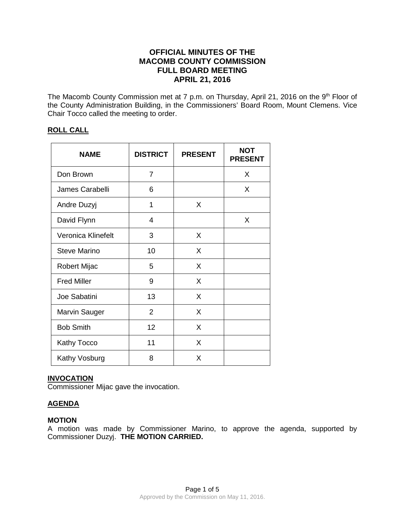# **OFFICIAL MINUTES OF THE MACOMB COUNTY COMMISSION FULL BOARD MEETING APRIL 21, 2016**

The Macomb County Commission met at 7 p.m. on Thursday, April 21, 2016 on the 9<sup>th</sup> Floor of the County Administration Building, in the Commissioners' Board Room, Mount Clemens. Vice Chair Tocco called the meeting to order.

# **ROLL CALL**

| <b>NAME</b>          | <b>DISTRICT</b> | <b>PRESENT</b> | <b>NOT</b><br><b>PRESENT</b> |
|----------------------|-----------------|----------------|------------------------------|
| Don Brown            | 7               |                | X                            |
| James Carabelli      | 6               |                | X                            |
| Andre Duzyj          | 1               | X              |                              |
| David Flynn          | 4               |                | X                            |
| Veronica Klinefelt   | 3               | X              |                              |
| <b>Steve Marino</b>  | 10              | X              |                              |
| Robert Mijac         | 5               | X              |                              |
| <b>Fred Miller</b>   | 9               | X              |                              |
| Joe Sabatini         | 13              | X              |                              |
| <b>Marvin Sauger</b> | $\overline{2}$  | X              |                              |
| <b>Bob Smith</b>     | 12              | X              |                              |
| Kathy Tocco          | 11              | X              |                              |
| Kathy Vosburg        | 8               | X              |                              |

# **INVOCATION**

Commissioner Mijac gave the invocation.

# **AGENDA**

# **MOTION**

A motion was made by Commissioner Marino, to approve the agenda, supported by Commissioner Duzyj. **THE MOTION CARRIED.**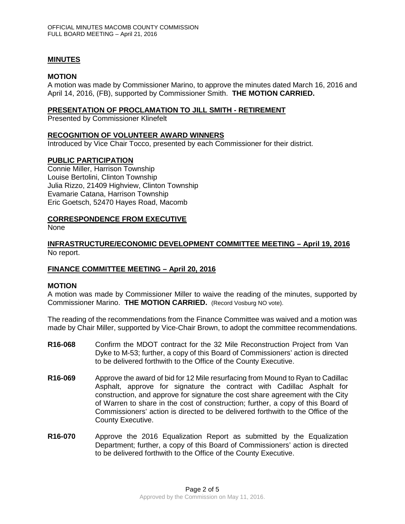# **MINUTES**

# **MOTION**

A motion was made by Commissioner Marino, to approve the minutes dated March 16, 2016 and April 14, 2016, (FB), supported by Commissioner Smith. **THE MOTION CARRIED.** 

#### **PRESENTATION OF PROCLAMATION TO JILL SMITH - RETIREMENT**

Presented by Commissioner Klinefelt

# **RECOGNITION OF VOLUNTEER AWARD WINNERS**

Introduced by Vice Chair Tocco, presented by each Commissioner for their district.

# **PUBLIC PARTICIPATION**

Connie Miller, Harrison Township Louise Bertolini, Clinton Township Julia Rizzo, 21409 Highview, Clinton Township Evamarie Catana, Harrison Township Eric Goetsch, 52470 Hayes Road, Macomb

# **CORRESPONDENCE FROM EXECUTIVE**

None

# **INFRASTRUCTURE/ECONOMIC DEVELOPMENT COMMITTEE MEETING – April 19, 2016** No report.

# **FINANCE COMMITTEE MEETING – April 20, 2016**

#### **MOTION**

A motion was made by Commissioner Miller to waive the reading of the minutes, supported by Commissioner Marino. **THE MOTION CARRIED.** (Record Vosburg NO vote).

The reading of the recommendations from the Finance Committee was waived and a motion was made by Chair Miller, supported by Vice-Chair Brown, to adopt the committee recommendations.

- **R16-068** Confirm the MDOT contract for the 32 Mile Reconstruction Project from Van Dyke to M-53; further, a copy of this Board of Commissioners' action is directed to be delivered forthwith to the Office of the County Executive.
- **R16-069** Approve the award of bid for 12 Mile resurfacing from Mound to Ryan to Cadillac Asphalt, approve for signature the contract with Cadillac Asphalt for construction, and approve for signature the cost share agreement with the City of Warren to share in the cost of construction; further, a copy of this Board of Commissioners' action is directed to be delivered forthwith to the Office of the County Executive.
- **R16-070** Approve the 2016 Equalization Report as submitted by the Equalization Department; further, a copy of this Board of Commissioners' action is directed to be delivered forthwith to the Office of the County Executive.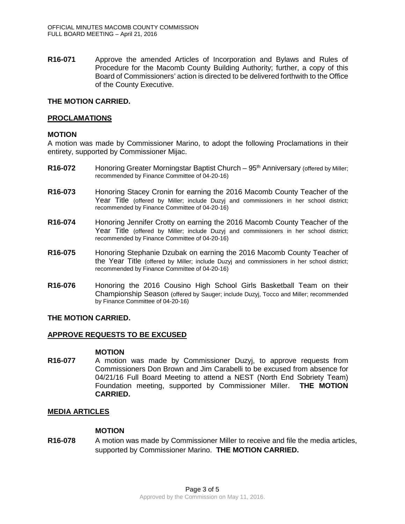**R16-071** Approve the amended Articles of Incorporation and Bylaws and Rules of Procedure for the Macomb County Building Authority; further, a copy of this Board of Commissioners' action is directed to be delivered forthwith to the Office of the County Executive.

# **THE MOTION CARRIED.**

#### **PROCLAMATIONS**

# **MOTION**

A motion was made by Commissioner Marino, to adopt the following Proclamations in their entirety, supported by Commissioner Mijac.

- **R16-072** Honoring Greater Morningstar Baptist Church 95<sup>th</sup> Anniversary (offered by Miller; recommended by Finance Committee of 04-20-16)
- **R16-073** Honoring Stacey Cronin for earning the 2016 Macomb County Teacher of the Year Title (offered by Miller; include Duzyj and commissioners in her school district; recommended by Finance Committee of 04-20-16)
- **R16-074** Honoring Jennifer Crotty on earning the 2016 Macomb County Teacher of the Year Title (offered by Miller; include Duzyj and commissioners in her school district; recommended by Finance Committee of 04-20-16)
- **R16-075** Honoring Stephanie Dzubak on earning the 2016 Macomb County Teacher of the Year Title (offered by Miller; include Duzyj and commissioners in her school district; recommended by Finance Committee of 04-20-16)
- **R16-076** Honoring the 2016 Cousino High School Girls Basketball Team on their Championship Season (offered by Sauger; include Duzyj, Tocco and Miller; recommended by Finance Committee of 04-20-16)

# **THE MOTION CARRIED.**

# **APPROVE REQUESTS TO BE EXCUSED**

# **MOTION**

**R16-077** A motion was made by Commissioner Duzyj, to approve requests from Commissioners Don Brown and Jim Carabelli to be excused from absence for 04/21/16 Full Board Meeting to attend a NEST (North End Sobriety Team) Foundation meeting, supported by Commissioner Miller. **THE MOTION CARRIED.** 

# **MEDIA ARTICLES**

#### **MOTION**

**R16-078** A motion was made by Commissioner Miller to receive and file the media articles, supported by Commissioner Marino. **THE MOTION CARRIED.**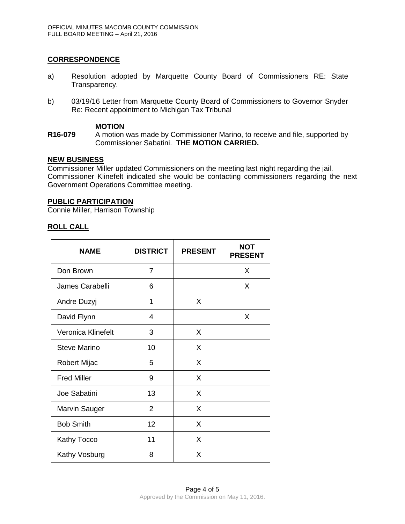# **CORRESPONDENCE**

- a) Resolution adopted by Marquette County Board of Commissioners RE: State Transparency.
- b) 03/19/16 Letter from Marquette County Board of Commissioners to Governor Snyder Re: Recent appointment to Michigan Tax Tribunal

#### **MOTION**

**R16-079** A motion was made by Commissioner Marino, to receive and file, supported by Commissioner Sabatini. **THE MOTION CARRIED.**

# **NEW BUSINESS**

Commissioner Miller updated Commissioners on the meeting last night regarding the jail. Commissioner Klinefelt indicated she would be contacting commissioners regarding the next Government Operations Committee meeting.

# **PUBLIC PARTICIPATION**

Connie Miller, Harrison Township

# **ROLL CALL**

| <b>NAME</b>          | <b>DISTRICT</b> | <b>PRESENT</b> | <b>NOT</b><br><b>PRESENT</b> |
|----------------------|-----------------|----------------|------------------------------|
| Don Brown            | 7               |                | X                            |
| James Carabelli      | 6               |                | X                            |
| Andre Duzyj          | 1               | X              |                              |
| David Flynn          | 4               |                | X                            |
| Veronica Klinefelt   | 3               | X              |                              |
| <b>Steve Marino</b>  | 10              | X              |                              |
| Robert Mijac         | 5               | X              |                              |
| <b>Fred Miller</b>   | 9               | X              |                              |
| Joe Sabatini         | 13              | X              |                              |
| <b>Marvin Sauger</b> | $\overline{2}$  | X              |                              |
| <b>Bob Smith</b>     | 12              | X              |                              |
| Kathy Tocco          | 11              | X              |                              |
| Kathy Vosburg        | 8               | X              |                              |